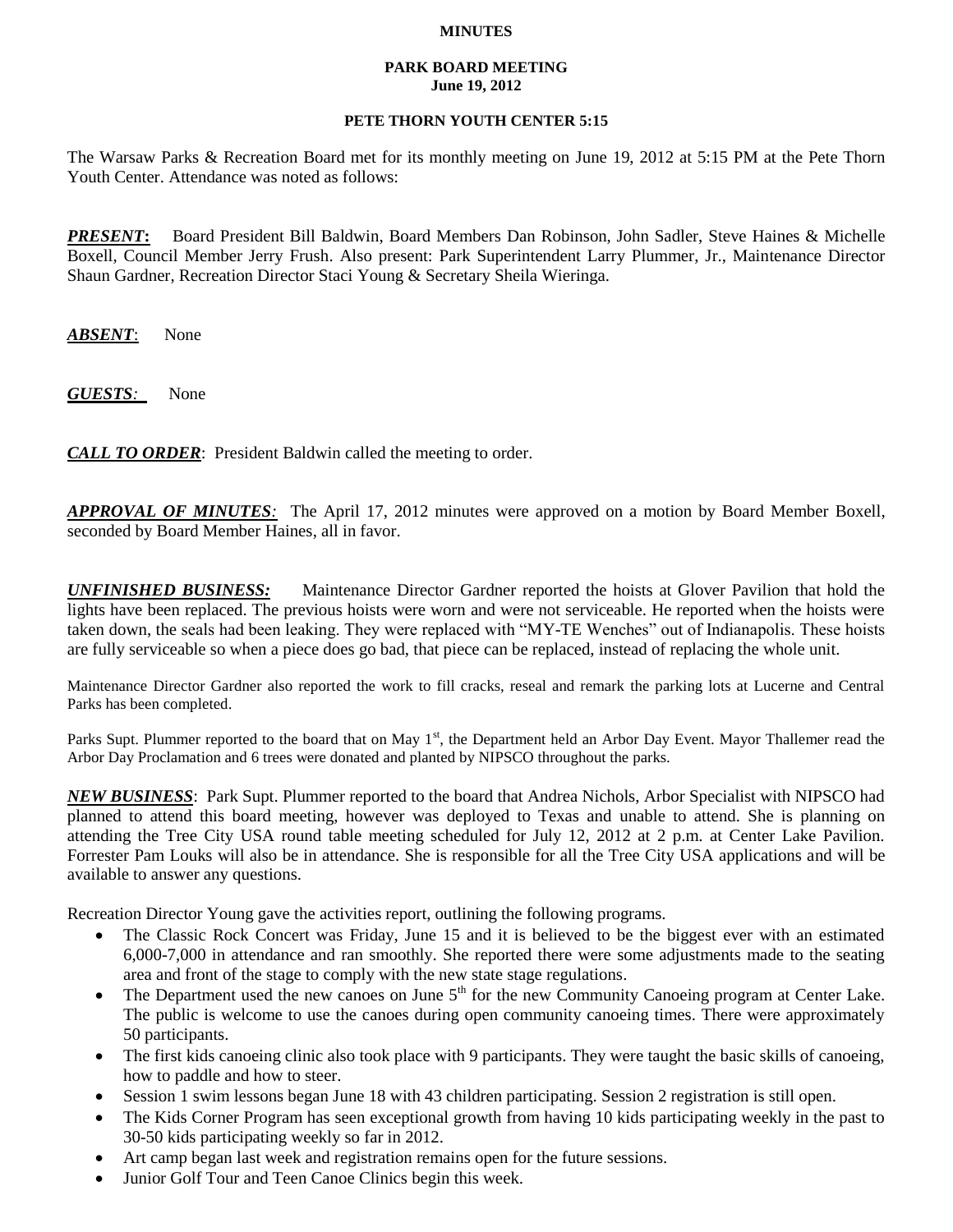## **MINUTES**

## **PARK BOARD MEETING June 19, 2012**

## **PETE THORN YOUTH CENTER 5:15**

The Warsaw Parks & Recreation Board met for its monthly meeting on June 19, 2012 at 5:15 PM at the Pete Thorn Youth Center. Attendance was noted as follows:

*PRESENT***:** Board President Bill Baldwin, Board Members Dan Robinson, John Sadler, Steve Haines & Michelle Boxell, Council Member Jerry Frush. Also present: Park Superintendent Larry Plummer, Jr., Maintenance Director Shaun Gardner, Recreation Director Staci Young & Secretary Sheila Wieringa.

*ABSENT*: None

*GUESTS:*None

*CALL TO ORDER*: President Baldwin called the meeting to order.

*APPROVAL OF MINUTES:* The April 17, 2012 minutes were approved on a motion by Board Member Boxell, seconded by Board Member Haines, all in favor.

*UNFINISHED BUSINESS:* Maintenance Director Gardner reported the hoists at Glover Pavilion that hold the lights have been replaced. The previous hoists were worn and were not serviceable. He reported when the hoists were taken down, the seals had been leaking. They were replaced with "MY-TE Wenches" out of Indianapolis. These hoists are fully serviceable so when a piece does go bad, that piece can be replaced, instead of replacing the whole unit.

Maintenance Director Gardner also reported the work to fill cracks, reseal and remark the parking lots at Lucerne and Central Parks has been completed.

Parks Supt. Plummer reported to the board that on May 1<sup>st</sup>, the Department held an Arbor Day Event. Mayor Thallemer read the Arbor Day Proclamation and 6 trees were donated and planted by NIPSCO throughout the parks.

*NEW BUSINESS*: Park Supt. Plummer reported to the board that Andrea Nichols, Arbor Specialist with NIPSCO had planned to attend this board meeting, however was deployed to Texas and unable to attend. She is planning on attending the Tree City USA round table meeting scheduled for July 12, 2012 at 2 p.m. at Center Lake Pavilion. Forrester Pam Louks will also be in attendance. She is responsible for all the Tree City USA applications and will be available to answer any questions.

Recreation Director Young gave the activities report, outlining the following programs.

- The Classic Rock Concert was Friday, June 15 and it is believed to be the biggest ever with an estimated 6,000-7,000 in attendance and ran smoothly. She reported there were some adjustments made to the seating area and front of the stage to comply with the new state stage regulations.
- $\bullet$  The Department used the new canoes on June  $5<sup>th</sup>$  for the new Community Canoeing program at Center Lake. The public is welcome to use the canoes during open community canoeing times. There were approximately 50 participants.
- The first kids canoeing clinic also took place with 9 participants. They were taught the basic skills of canoeing, how to paddle and how to steer.
- Session 1 swim lessons began June 18 with 43 children participating. Session 2 registration is still open.
- The Kids Corner Program has seen exceptional growth from having 10 kids participating weekly in the past to 30-50 kids participating weekly so far in 2012.
- Art camp began last week and registration remains open for the future sessions.
- Junior Golf Tour and Teen Canoe Clinics begin this week.